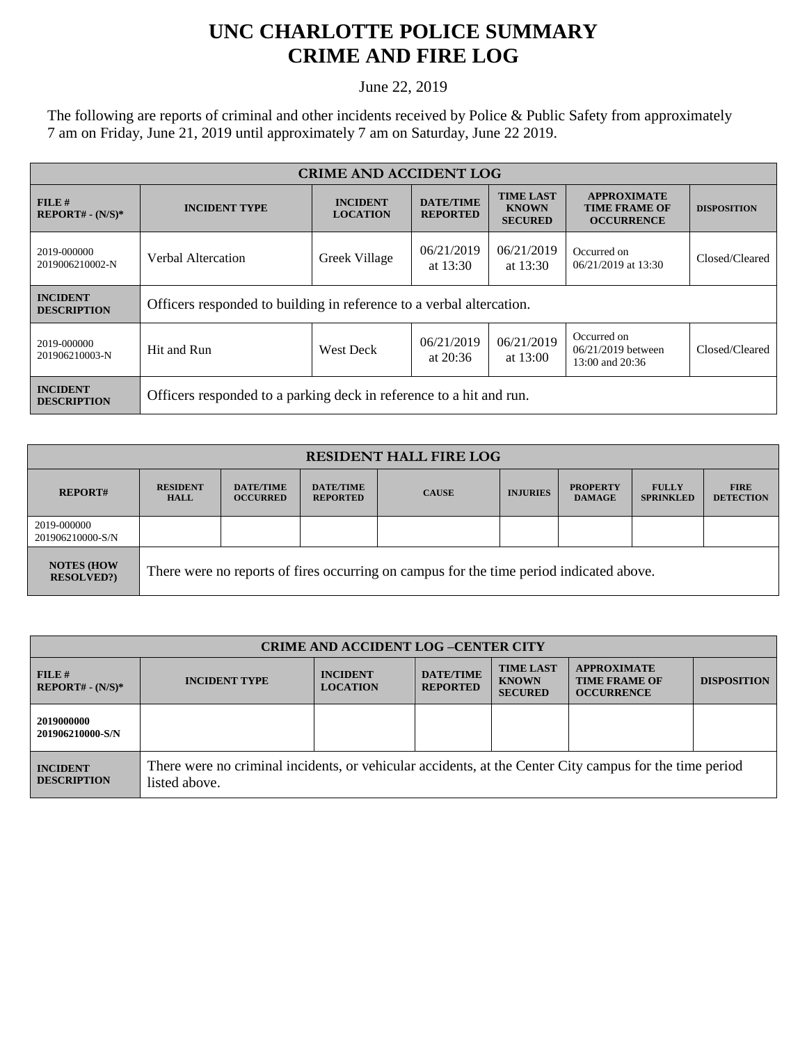## **UNC CHARLOTTE POLICE SUMMARY CRIME AND FIRE LOG**

June 22, 2019

The following are reports of criminal and other incidents received by Police & Public Safety from approximately 7 am on Friday, June 21, 2019 until approximately 7 am on Saturday, June 22 2019.

| <b>CRIME AND ACCIDENT LOG</b>         |                                                                      |                                    |                                     |                                                    |                                                                 |                    |  |
|---------------------------------------|----------------------------------------------------------------------|------------------------------------|-------------------------------------|----------------------------------------------------|-----------------------------------------------------------------|--------------------|--|
| $FILE$ #<br>$REPORT# - (N/S)*$        | <b>INCIDENT TYPE</b>                                                 | <b>INCIDENT</b><br><b>LOCATION</b> | <b>DATE/TIME</b><br><b>REPORTED</b> | <b>TIME LAST</b><br><b>KNOWN</b><br><b>SECURED</b> | <b>APPROXIMATE</b><br><b>TIME FRAME OF</b><br><b>OCCURRENCE</b> | <b>DISPOSITION</b> |  |
| 2019-000000<br>2019006210002-N        | Greek Village<br>Verbal Altercation                                  |                                    | 06/21/2019<br>at $13:30$            | 06/21/2019<br>at $13:30$                           | Occurred on<br>06/21/2019 at 13:30                              | Closed/Cleared     |  |
| <b>INCIDENT</b><br><b>DESCRIPTION</b> | Officers responded to building in reference to a verbal altercation. |                                    |                                     |                                                    |                                                                 |                    |  |
| 2019-000000<br>201906210003-N         | Hit and Run                                                          | <b>West Deck</b>                   | 06/21/2019<br>at $20:36$            | 06/21/2019<br>at $13:00$                           | Occurred on<br>$06/21/2019$ between<br>13:00 and 20:36          | Closed/Cleared     |  |
| <b>INCIDENT</b><br><b>DESCRIPTION</b> | Officers responded to a parking deck in reference to a hit and run.  |                                    |                                     |                                                    |                                                                 |                    |  |

| <b>RESIDENT HALL FIRE LOG</b>         |                                                                                         |                                     |                                     |              |                 |                                  |                                  |                                 |
|---------------------------------------|-----------------------------------------------------------------------------------------|-------------------------------------|-------------------------------------|--------------|-----------------|----------------------------------|----------------------------------|---------------------------------|
| <b>REPORT#</b>                        | <b>RESIDENT</b><br><b>HALL</b>                                                          | <b>DATE/TIME</b><br><b>OCCURRED</b> | <b>DATE/TIME</b><br><b>REPORTED</b> | <b>CAUSE</b> | <b>INJURIES</b> | <b>PROPERTY</b><br><b>DAMAGE</b> | <b>FULLY</b><br><b>SPRINKLED</b> | <b>FIRE</b><br><b>DETECTION</b> |
| 2019-000000<br>201906210000-S/N       |                                                                                         |                                     |                                     |              |                 |                                  |                                  |                                 |
| <b>NOTES (HOW</b><br><b>RESOLVED?</b> | There were no reports of fires occurring on campus for the time period indicated above. |                                     |                                     |              |                 |                                  |                                  |                                 |

| <b>CRIME AND ACCIDENT LOG-CENTER CITY</b> |                                                                                                                          |                                    |                                     |                                                    |                                                                 |                    |
|-------------------------------------------|--------------------------------------------------------------------------------------------------------------------------|------------------------------------|-------------------------------------|----------------------------------------------------|-----------------------------------------------------------------|--------------------|
| FILE#<br>$REPORT# - (N/S)*$               | <b>INCIDENT TYPE</b>                                                                                                     | <b>INCIDENT</b><br><b>LOCATION</b> | <b>DATE/TIME</b><br><b>REPORTED</b> | <b>TIME LAST</b><br><b>KNOWN</b><br><b>SECURED</b> | <b>APPROXIMATE</b><br><b>TIME FRAME OF</b><br><b>OCCURRENCE</b> | <b>DISPOSITION</b> |
| 2019000000<br>201906210000-S/N            |                                                                                                                          |                                    |                                     |                                                    |                                                                 |                    |
| <b>INCIDENT</b><br><b>DESCRIPTION</b>     | There were no criminal incidents, or vehicular accidents, at the Center City campus for the time period<br>listed above. |                                    |                                     |                                                    |                                                                 |                    |